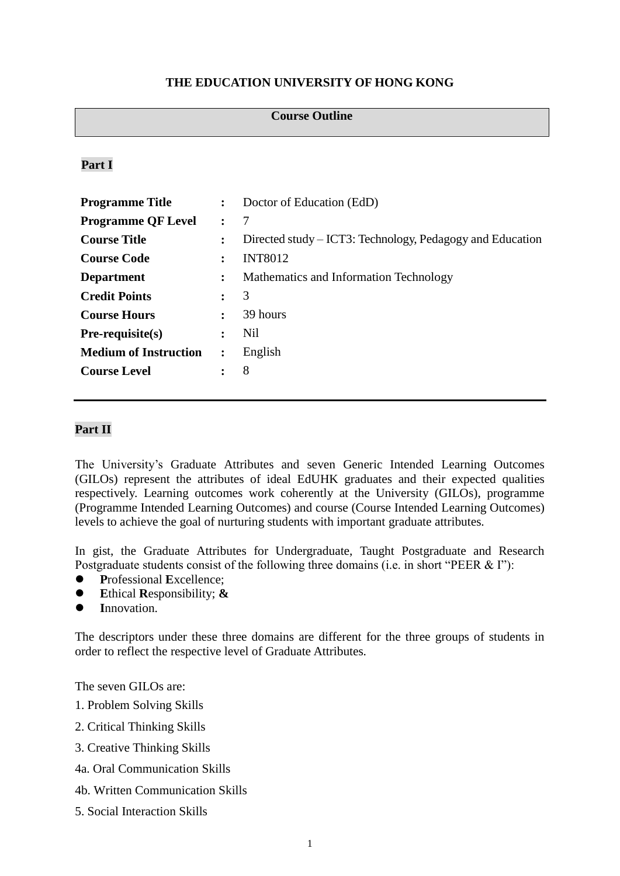# **THE EDUCATION UNIVERSITY OF HONG KONG**

#### **Course Outline**

## **Part I**

| $\ddot{\phantom{a}}$ | Doctor of Education (EdD)                                 |
|----------------------|-----------------------------------------------------------|
|                      | 7                                                         |
| $\ddot{\phantom{a}}$ | Directed study – ICT3: Technology, Pedagogy and Education |
|                      | <b>INT8012</b>                                            |
|                      | Mathematics and Information Technology                    |
|                      | 3                                                         |
| $\ddot{\cdot}$       | 39 hours                                                  |
|                      | Nil                                                       |
| $\ddot{\cdot}$       | English                                                   |
|                      | 8                                                         |
|                      |                                                           |

## **Part II**

The University's Graduate Attributes and seven Generic Intended Learning Outcomes (GILOs) represent the attributes of ideal EdUHK graduates and their expected qualities respectively. Learning outcomes work coherently at the University (GILOs), programme (Programme Intended Learning Outcomes) and course (Course Intended Learning Outcomes) levels to achieve the goal of nurturing students with important graduate attributes.

In gist, the Graduate Attributes for Undergraduate, Taught Postgraduate and Research Postgraduate students consist of the following three domains (i.e. in short "PEER & I"):

- **P**rofessional **E**xcellence;
- **E**thical **R**esponsibility; **&**
- **I**nnovation.

The descriptors under these three domains are different for the three groups of students in order to reflect the respective level of Graduate Attributes.

The seven GILOs are:

- 1. Problem Solving Skills
- 2. Critical Thinking Skills
- 3. Creative Thinking Skills
- 4a. Oral Communication Skills
- 4b. Written Communication Skills
- 5. Social Interaction Skills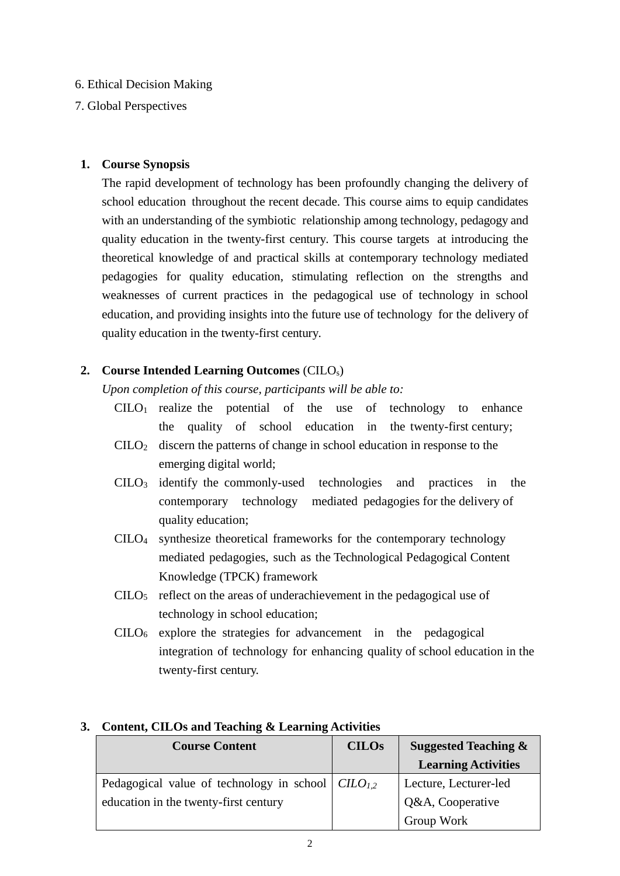# 6. Ethical Decision Making

# 7. Global Perspectives

## **1. Course Synopsis**

The rapid development of technology has been profoundly changing the delivery of school education throughout the recent decade. This course aims to equip candidates with an understanding of the symbiotic relationship among technology, pedagogy and quality education in the twenty-first century. This course targets at introducing the theoretical knowledge of and practical skills at contemporary technology mediated pedagogies for quality education, stimulating reflection on the strengths and weaknesses of current practices in the pedagogical use of technology in school education, and providing insights into the future use of technology for the delivery of quality education in the twenty-first century.

# **2. Course Intended Learning Outcomes** (CILOs)

*Upon completion of this course, participants will be able to:*

- $C I L O<sub>1</sub>$  realize the potential of the use of technology to enhance the quality of school education in the twenty-first century;
- $C I L O<sub>2</sub>$  discern the patterns of change in school education in response to the emerging digital world;
- CILO<sup>3</sup> identify the commonly-used technologies and practices in the contemporary technology mediated pedagogies for the delivery of quality education;
- CILO<sup>4</sup> synthesize theoretical frameworks for the contemporary technology mediated pedagogies, such as the Technological Pedagogical Content Knowledge (TPCK) framework
- $\text{CILO}_5$  reflect on the areas of underachievement in the pedagogical use of technology in school education;
- $CILO<sub>6</sub>$  explore the strategies for advancement in the pedagogical integration of technology for enhancing quality of school education in the twenty-first century.

| <b>Course Content</b>                                    | <b>CILOs</b> | <b>Suggested Teaching &amp;</b> |
|----------------------------------------------------------|--------------|---------------------------------|
|                                                          |              | <b>Learning Activities</b>      |
| Pedagogical value of technology in school $ CIIO_{1,2} $ |              | Lecture, Lecturer-led           |
| education in the twenty-first century                    |              | Q&A, Cooperative                |
|                                                          |              | Group Work                      |

# **3. Content, CILOs and Teaching & Learning Activities**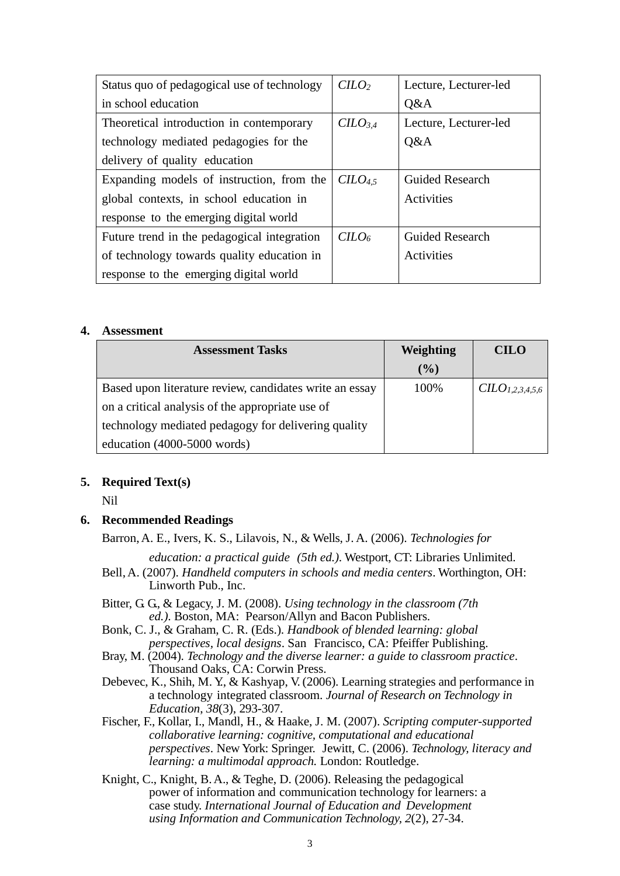| Status quo of pedagogical use of technology | $C$               | Lecture, Lecturer-led  |
|---------------------------------------------|-------------------|------------------------|
| in school education                         |                   | Q&A                    |
| Theoretical introduction in contemporary    | $C$               | Lecture, Lecturer-led  |
| technology mediated pedagogies for the      |                   | Q&A                    |
| delivery of quality education               |                   |                        |
| Expanding models of instruction, from the   | C <sub>4.5</sub>  | <b>Guided Research</b> |
| global contexts, in school education in     |                   | <b>Activities</b>      |
| response to the emerging digital world      |                   |                        |
| Future trend in the pedagogical integration | CILO <sub>6</sub> | <b>Guided Research</b> |
| of technology towards quality education in  |                   | <b>Activities</b>      |
| response to the emerging digital world      |                   |                        |

### **4. Assessment**

| <b>Assessment Tasks</b>                                 | Weighting | <b>CILO</b>                 |
|---------------------------------------------------------|-----------|-----------------------------|
|                                                         | $(\%)$    |                             |
| Based upon literature review, candidates write an essay | 100%      | CILO <sub>1,2,3,4,5,6</sub> |
| on a critical analysis of the appropriate use of        |           |                             |
| technology mediated pedagogy for delivering quality     |           |                             |
| education (4000-5000 words)                             |           |                             |

### **5. Required Text(s)**

Nil

### **6. Recommended Readings**

Barron,A. E., Ivers, K. S., Lilavois, N., & Wells, J. A. (2006). *Technologies for*

*education: a practical guide (5th ed.)*. Westport, CT: Libraries Unlimited.

- Bell,A. (2007). *Handheld computers in schools and media centers*. Worthington, OH: Linworth Pub., Inc.
- Bitter, G. G., & Legacy, J. M. (2008). *Using technology in the classroom (7th ed.)*. Boston, MA: Pearson/Allyn and Bacon Publishers.
- Bonk, C. J., & Graham, C. R. (Eds.). *Handbook of blended learning: global perspectives, local designs*. San Francisco, CA: Pfeiffer Publishing.
- Bray, M. (2004). *Technology and the diverse learner: a guide to classroom practice*. Thousand Oaks, CA: Corwin Press.
- Debevec, K., Shih, M. Y., & Kashyap, V. (2006). Learning strategies and performance in a technology integrated classroom. *Journal of Research on Technology in Education*, *38*(3), 293-307.
- Fischer, F., Kollar, I., Mandl, H., & Haake, J. M. (2007). *Scripting computer-supported collaborative learning: cognitive, computational and educational perspectives*. New York: Springer. Jewitt, C. (2006). *Technology, literacy and learning: a multimodal approach.* London: Routledge.
- Knight, C., Knight, B.A., & Teghe, D. (2006). Releasing the pedagogical power of information and communication technology for learners: a case study. *International Journal of Education and Development using Information and Communication Technology, 2*(2), 27-34.